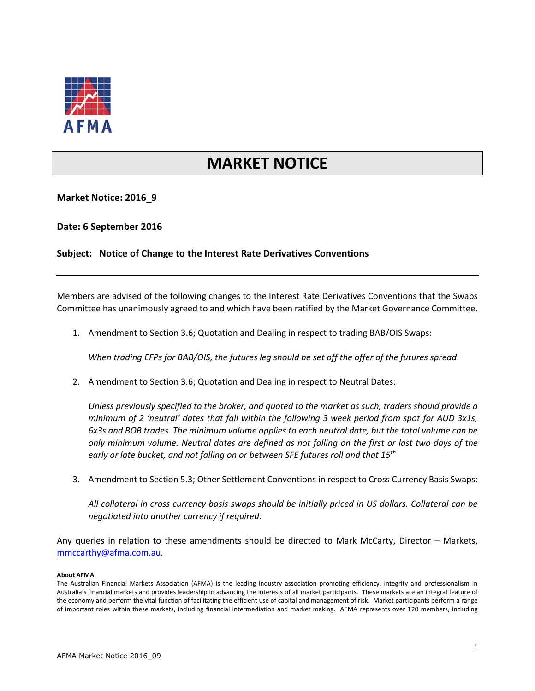

## **MARKET NOTICE**

**Market Notice: 2016\_9**

**Date: 6 September 2016**

**Subject: Notice of Change to the Interest Rate Derivatives Conventions**

Members are advised of the following changes to the Interest Rate Derivatives Conventions that the Swaps Committee has unanimously agreed to and which have been ratified by the Market Governance Committee.

1. Amendment to Section 3.6; Quotation and Dealing in respect to trading BAB/OIS Swaps:

*When trading EFPs for BAB/OIS, the futures leg should be set off the offer of the futures spread*

2. Amendment to Section 3.6; Quotation and Dealing in respect to Neutral Dates:

*Unless previously specified to the broker, and quoted to the market as such, traders should provide a minimum of 2 'neutral' dates that fall within the following 3 week period from spot for AUD 3x1s, 6x3s and BOB trades. The minimum volume applies to each neutral date, but the total volume can be only minimum volume. Neutral dates are defined as not falling on the first or last two days of the early or late bucket, and not falling on or between SFE futures roll and that 15th*

3. Amendment to Section 5.3; Other Settlement Conventions in respect to Cross Currency Basis Swaps:

*All collateral in cross currency basis swaps should be initially priced in US dollars. Collateral can be negotiated into another currency if required.*

Any queries in relation to these amendments should be directed to Mark McCarty, Director – Markets, [mmccarthy@afma.com.au.](mailto:mmccarthy@afma.com.au)

## **About AFMA**

The Australian Financial Markets Association (AFMA) is the leading industry association promoting efficiency, integrity and professionalism in Australia's financial markets and provides leadership in advancing the interests of all market participants. These markets are an integral feature of the economy and perform the vital function of facilitating the efficient use of capital and management of risk. Market participants perform a range of important roles within these markets, including financial intermediation and market making. AFMA represents over 120 members, including